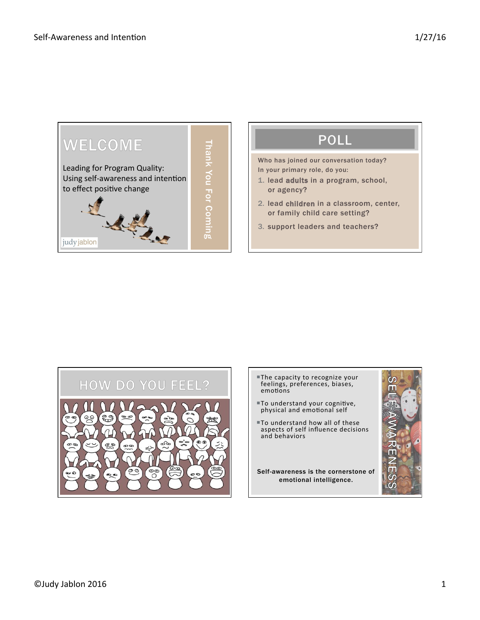

Who has joined our conversation today? In your primary role, do you:

- 1. lead adults in a program, school, or agency?
- 2. lead children in a classroom, center, or family child care setting?
- 3. support leaders and teachers?



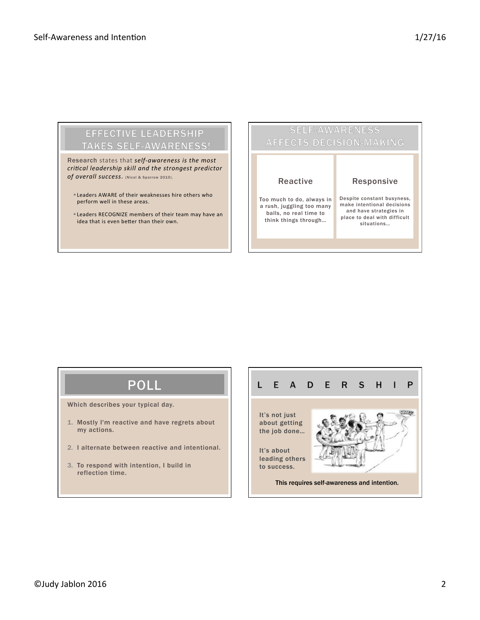### **EFFECTIVE LEADERSHIP TAKES SELF-AWARENESS!**

Research states that *self-awareness is the most critical leadership skill and the strongest predictor of overall success*. (Nicol & Sparrow 2010).

- Leaders AWARE of their weaknesses hire others who perform well in these areas.
- **ELeaders RECOGNIZE members of their team may have an** idea that is even better than their own.



# **POLL**

Which describes your typical day.

- 1. Mostly I'm reactive and have regrets about my actions.
- 2. I alternate between reactive and intentional.
- 3. To respond with intention, I build in reflection time.

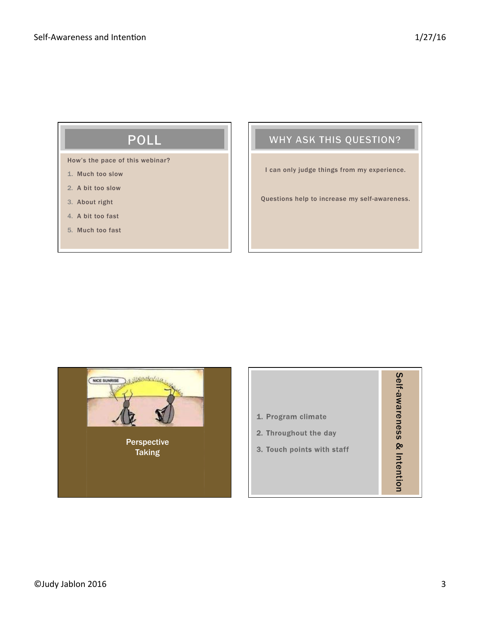# POLL

How's the pace of this webinar?

- 1. Much too slow
- 2. A bit too slow
- 3. About right
- 4. A bit too fast
- 5. Much too fast

## WHY ASK THIS QUESTION?

I can only judge things from my experience.

Questions help to increase my self-awareness.



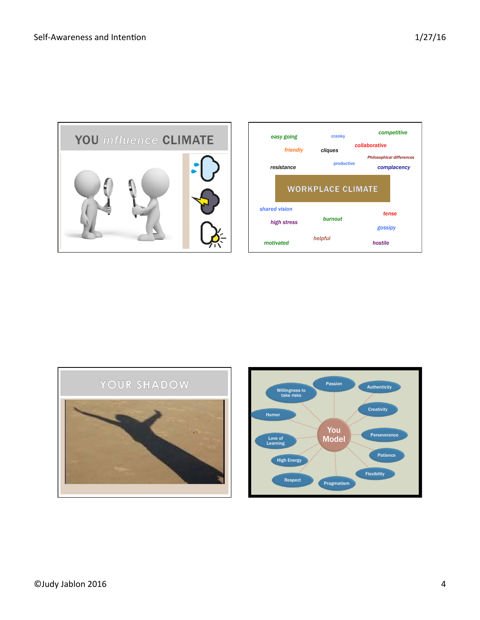



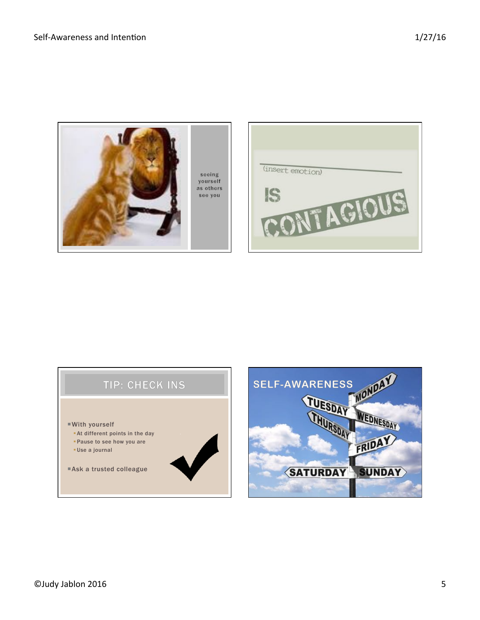

seeing<br>yourself as others see you

г

| (insert emotion) |
|------------------|
|                  |
|                  |
|                  |

## TIP: CHECK INS

- ¡With yourself
	- **At different points in the day**
	- §Pause to see how you are
	- §Use a journal

■ Ask a trusted colleague

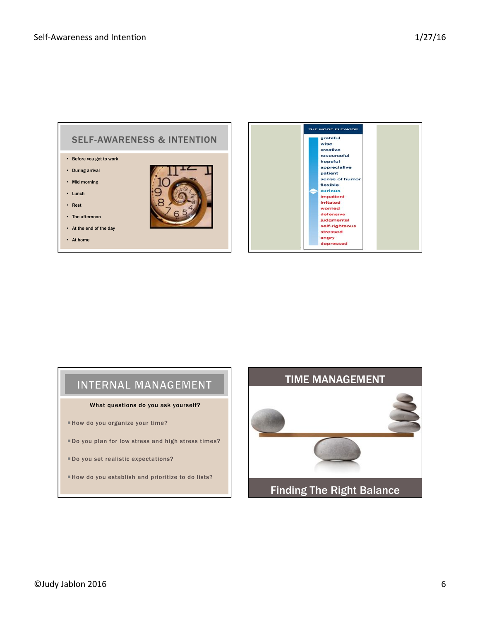

## INTERNAL MANAGEMENT

#### What questions do you ask yourself?

¡How do you organize your time?

¡Do you plan for low stress and high stress times?

**Do you set realistic expectations?** 

¡How do you establish and prioritize to do lists?

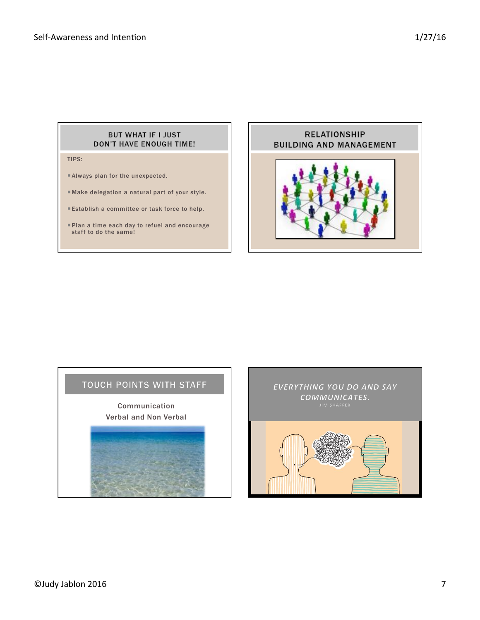#### BUT WHAT IF I JUST **DON'T HAVE ENOUGH TIME!**

TIPS:

- ¡Always plan for the unexpected.
- ¡ Make delegation a natural part of your style.
- Establish a committee or task force to help.
- ¡Plan a time each day to refuel and encourage staff to do the same!



Communication Verbal and Non Verbal

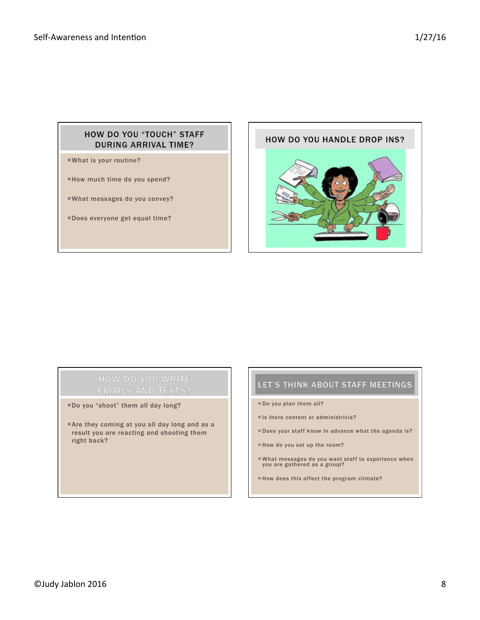### HOW DO YOU "TOUCH" STAFF **DURING ARRIVAL TIME?**

¡What is your routine?

¡How much time do you spend?

¡What messages do you convey?

¡Does everyone get equal time?



### **HOW DO YOU WRITE EMAILS AND TEXTS?**

¡Do you "shoot" them all day long?

**Are they coming at you all day long and as a** result you are reacting and shooting them right back?

- ¡ Do you plan them all?
- $\blacksquare$  Is there content or administrivia?
- ¡ Does your staff know in advance what the agenda is?
- ¡ How do you set up the room?
- ¡ What messages do you want staff to experience when you are gathered as a group?
- ¡ How does this affect the program climate?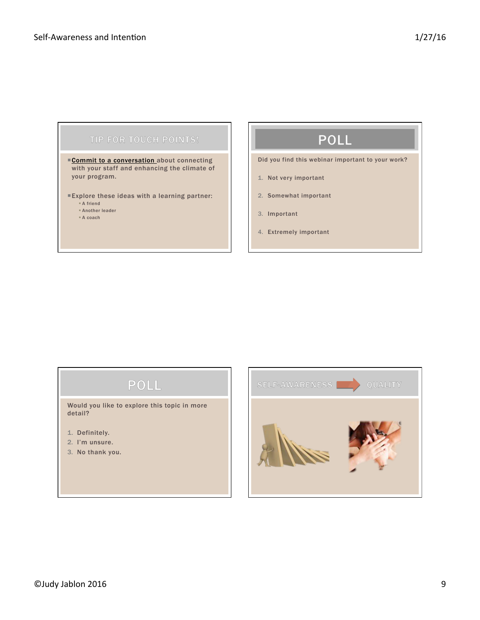#### TIP FOR TOUCH POINTS!

Commit to a conversation about connecting with your staff and enhancing the climate of your program.

¡Explore these ideas with a learning partner:

- § A friend § Another leader
- § A coach

# **POLL**

Did you find this webinar important to your work?

- 1. Not very important
- 2. Somewhat important
- 3. Important
- 4. Extremely important

# POLL

Would you like to explore this topic in more detail?

- 1. Definitely.
- 2. I'm unsure.
- 3. No thank you.